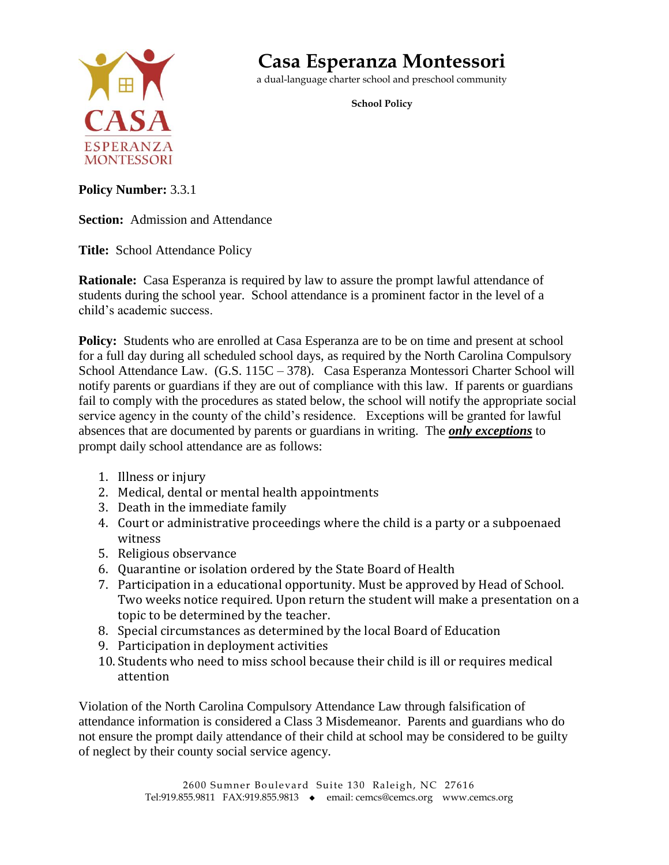

# **Casa Esperanza Montessori**

a dual-language charter school and preschool community

**School Policy**

**Policy Number:** 3.3.1

**Section:** Admission and Attendance

**Title:** School Attendance Policy

**Rationale:** Casa Esperanza is required by law to assure the prompt lawful attendance of students during the school year. School attendance is a prominent factor in the level of a child's academic success.

**Policy:** Students who are enrolled at Casa Esperanza are to be on time and present at school for a full day during all scheduled school days, as required by the North Carolina Compulsory School Attendance Law. (G.S. 115C – 378). Casa Esperanza Montessori Charter School will notify parents or guardians if they are out of compliance with this law. If parents or guardians fail to comply with the procedures as stated below, the school will notify the appropriate social service agency in the county of the child's residence. Exceptions will be granted for lawful absences that are documented by parents or guardians in writing. The *only exceptions* to prompt daily school attendance are as follows:

- 1. Illness or injury
- 2. Medical, dental or mental health appointments
- 3. Death in the immediate family
- 4. Court or administrative proceedings where the child is a party or a subpoenaed witness
- 5. Religious observance
- 6. Quarantine or isolation ordered by the State Board of Health
- 7. Participation in a educational opportunity. Must be approved by Head of School. Two weeks notice required. Upon return the student will make a presentation on a topic to be determined by the teacher.
- 8. Special circumstances as determined by the local Board of Education
- 9. Participation in deployment activities
- 10. Students who need to miss school because their child is ill or requires medical attention

Violation of the North Carolina Compulsory Attendance Law through falsification of attendance information is considered a Class 3 Misdemeanor. Parents and guardians who do not ensure the prompt daily attendance of their child at school may be considered to be guilty of neglect by their county social service agency.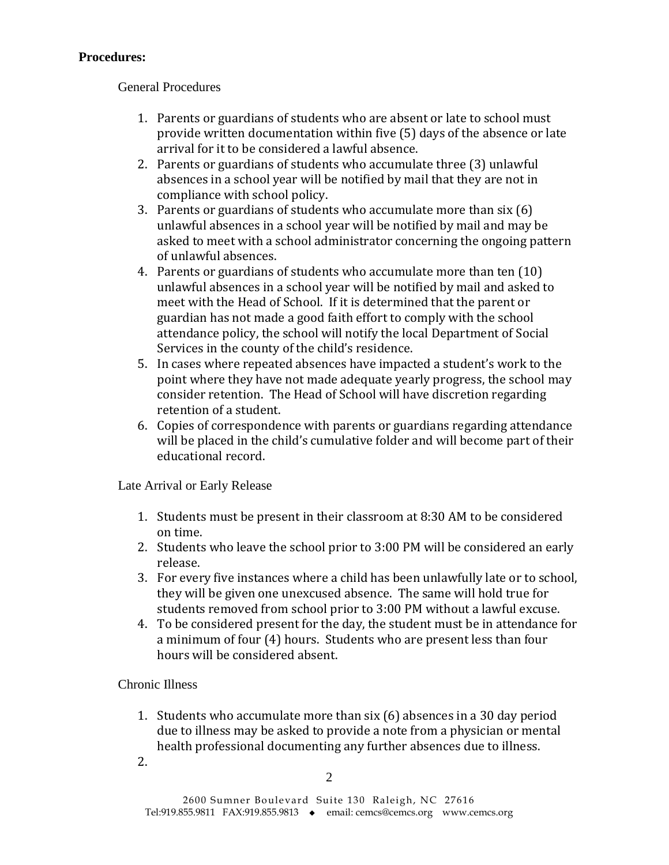## **Procedures:**

General Procedures

- 1. Parents or guardians of students who are absent or late to school must provide written documentation within five (5) days of the absence or late arrival for it to be considered a lawful absence.
- 2. Parents or guardians of students who accumulate three (3) unlawful absences in a school year will be notified by mail that they are not in compliance with school policy.
- 3. Parents or guardians of students who accumulate more than six (6) unlawful absences in a school year will be notified by mail and may be asked to meet with a school administrator concerning the ongoing pattern of unlawful absences.
- 4. Parents or guardians of students who accumulate more than ten (10) unlawful absences in a school year will be notified by mail and asked to meet with the Head of School. If it is determined that the parent or guardian has not made a good faith effort to comply with the school attendance policy, the school will notify the local Department of Social Services in the county of the child's residence.
- 5. In cases where repeated absences have impacted a student's work to the point where they have not made adequate yearly progress, the school may consider retention. The Head of School will have discretion regarding retention of a student.
- 6. Copies of correspondence with parents or guardians regarding attendance will be placed in the child's cumulative folder and will become part of their educational record.

Late Arrival or Early Release

- 1. Students must be present in their classroom at 8:30 AM to be considered on time.
- 2. Students who leave the school prior to 3:00 PM will be considered an early release.
- 3. For every five instances where a child has been unlawfully late or to school, they will be given one unexcused absence. The same will hold true for students removed from school prior to 3:00 PM without a lawful excuse.
- 4. To be considered present for the day, the student must be in attendance for a minimum of four (4) hours. Students who are present less than four hours will be considered absent.

## Chronic Illness

- 1. Students who accumulate more than six (6) absences in a 30 day period due to illness may be asked to provide a note from a physician or mental health professional documenting any further absences due to illness.
- 2.